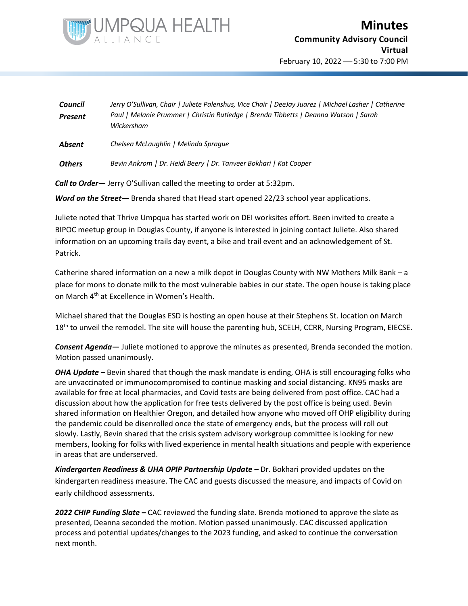

| Council<br><b>Present</b> | Jerry O'Sullivan, Chair   Juliete Palenshus, Vice Chair   DeeJay Juarez   Michael Lasher   Catherine<br>Paul   Melanie Prummer   Christin Rutledge   Brenda Tibbetts   Deanna Watson   Sarah<br>Wickersham |
|---------------------------|------------------------------------------------------------------------------------------------------------------------------------------------------------------------------------------------------------|
| Absent                    | Chelsea McLaughlin   Melinda Spraque                                                                                                                                                                       |

*Others Bevin Ankrom | Dr. Heidi Beery | Dr. Tanveer Bokhari | Kat Cooper*

*Call to Order—* Jerry O'Sullivan called the meeting to order at 5:32pm.

*Word on the Street—* Brenda shared that Head start opened 22/23 school year applications.

Juliete noted that Thrive Umpqua has started work on DEI worksites effort. Been invited to create a BIPOC meetup group in Douglas County, if anyone is interested in joining contact Juliete. Also shared information on an upcoming trails day event, a bike and trail event and an acknowledgement of St. Patrick.

Catherine shared information on a new a milk depot in Douglas County with NW Mothers Milk Bank – a place for mons to donate milk to the most vulnerable babies in our state. The open house is taking place on March 4th at Excellence in Women's Health.

Michael shared that the Douglas ESD is hosting an open house at their Stephens St. location on March 18<sup>th</sup> to unveil the remodel. The site will house the parenting hub, SCELH, CCRR, Nursing Program, EIECSE.

*Consent Agenda—* Juliete motioned to approve the minutes as presented, Brenda seconded the motion. Motion passed unanimously.

*OHA Update –* Bevin shared that though the mask mandate is ending, OHA is still encouraging folks who are unvaccinated or immunocompromised to continue masking and social distancing. KN95 masks are available for free at local pharmacies, and Covid tests are being delivered from post office. CAC had a discussion about how the application for free tests delivered by the post office is being used. Bevin shared information on Healthier Oregon, and detailed how anyone who moved off OHP eligibility during the pandemic could be disenrolled once the state of emergency ends, but the process will roll out slowly. Lastly, Bevin shared that the crisis system advisory workgroup committee is looking for new members, looking for folks with lived experience in mental health situations and people with experience in areas that are underserved.

*Kindergarten Readiness & UHA OPIP Partnership Update* **–** Dr. Bokhari provided updates on the kindergarten readiness measure. The CAC and guests discussed the measure, and impacts of Covid on early childhood assessments.

*2022 CHIP Funding Slate –* CAC reviewed the funding slate. Brenda motioned to approve the slate as presented, Deanna seconded the motion. Motion passed unanimously. CAC discussed application process and potential updates/changes to the 2023 funding, and asked to continue the conversation next month.